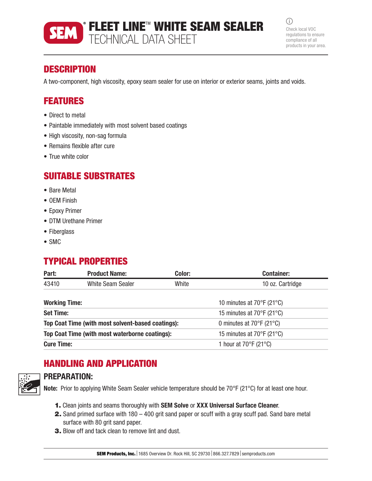# FLEET LINE™ WHITE SEAM SEALER TECHNICAL DATA SHEET

 $(i)$ Check local VOC regulations to ensure compliance of all products in your area.

## **DESCRIPTION**

A two-component, high viscosity, epoxy seam sealer for use on interior or exterior seams, joints and voids.

## FEATURES

- Direct to metal
- Paintable immediately with most solvent based coatings
- High viscosity, non-sag formula
- Remains flexible after cure
- True white color

### SUITABLE SUBSTRATES

- Bare Metal
- OEM Finish
- Epoxy Primer
- DTM Urethane Primer
- Fiberglass
- SMC

## TYPICAL PROPERTIES

| Part:                                             | <b>Product Name:</b>     | Color: | <b>Container:</b>                          |  |
|---------------------------------------------------|--------------------------|--------|--------------------------------------------|--|
| 43410                                             | <b>White Seam Sealer</b> | White  | 10 oz. Cartridge                           |  |
| <b>Working Time:</b>                              |                          |        | 10 minutes at 70°F (21°C)                  |  |
| <b>Set Time:</b>                                  |                          |        | 15 minutes at 70°F (21°C)                  |  |
| Top Coat Time (with most solvent-based coatings): |                          |        | 0 minutes at $70^{\circ}$ F (21°C)         |  |
| Top Coat Time (with most waterborne coatings):    |                          |        | 15 minutes at 70°F (21°C)                  |  |
| <b>Cure Time:</b>                                 |                          |        | 1 hour at $70^{\circ}$ F (21 $^{\circ}$ C) |  |
|                                                   |                          |        |                                            |  |

## HANDLING AND APPLICATION



### PREPARATION:

Note: Prior to applying White Seam Sealer vehicle temperature should be 70°F (21°C) for at least one hour.

- 1. Clean joints and seams thoroughly with SEM Solve or XXX Universal Surface Cleaner.
- 2. Sand primed surface with 180 400 grit sand paper or scuff with a gray scuff pad. Sand bare metal surface with 80 grit sand paper.
- 3. Blow off and tack clean to remove lint and dust.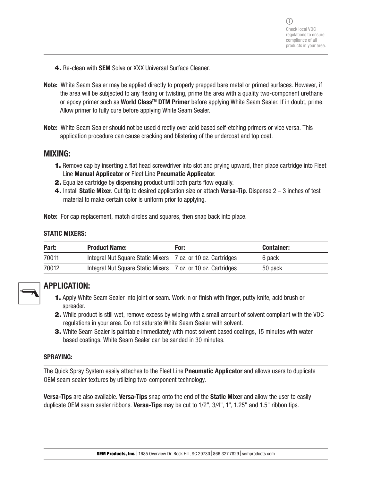- 4. Re-clean with **SEM** Solve or XXX Universal Surface Cleaner.
- Note: White Seam Sealer may be applied directly to properly prepped bare metal or primed surfaces. However, if the area will be subjected to any flexing or twisting, prime the area with a quality two-component urethane or epoxy primer such as World Class<sup>™</sup> DTM Primer before applying White Seam Sealer. If in doubt, prime. Allow primer to fully cure before applying White Seam Sealer.
- Note: White Seam Sealer should not be used directly over acid based self-etching primers or vice versa. This application procedure can cause cracking and blistering of the undercoat and top coat.

#### MIXING:

- 1. Remove cap by inserting a flat head screwdriver into slot and prying upward, then place cartridge into Fleet Line Manual Applicator or Fleet Line Pneumatic Applicator.
- **2.** Equalize cartridge by dispensing product until both parts flow equally.
- **4.** Install Static Mixer. Cut tip to desired application size or attach Versa-Tip. Dispense  $2 3$  inches of test material to make certain color is uniform prior to applying.

Note: For cap replacement, match circles and squares, then snap back into place.

#### STATIC MIXERS:

| Part: | <b>Product Name:</b>                                         | For: | <b>Container:</b> |
|-------|--------------------------------------------------------------|------|-------------------|
| 70011 | Integral Nut Square Static Mixers 7 oz. or 10 oz. Cartridges |      | 6 pack            |
| 70012 | Integral Nut Square Static Mixers 7 oz. or 10 oz. Cartridges |      | 50 pack           |



### APPLICATION:

- 1. Apply White Seam Sealer into joint or seam. Work in or finish with finger, putty knife, acid brush or spreader.
- 2. While product is still wet, remove excess by wiping with a small amount of solvent compliant with the VOC regulations in your area. Do not saturate White Seam Sealer with solvent.
- **3.** White Seam Sealer is paintable immediately with most solvent based coatings, 15 minutes with water based coatings. White Seam Sealer can be sanded in 30 minutes.

#### SPRAYING:

The Quick Spray System easily attaches to the Fleet Line **Pneumatic Applicator** and allows users to duplicate OEM seam sealer textures by utilizing two-component technology.

Versa-Tips are also available. Versa-Tips snap onto the end of the Static Mixer and allow the user to easily duplicate OEM seam sealer ribbons. Versa-Tips may be cut to  $1/2$ ",  $3/4$ ",  $1$ ",  $1.25$ " and  $1.5$ " ribbon tips.